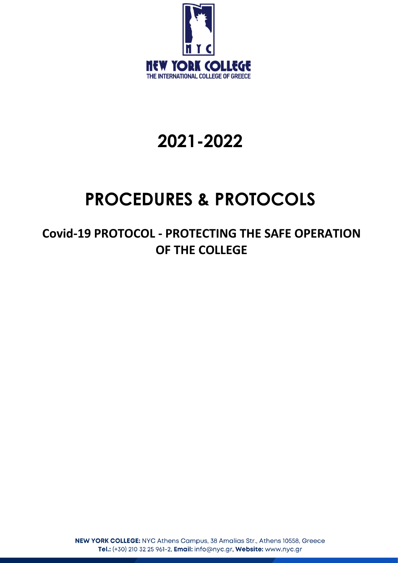

## **2021-2022**

# **PROCEDURES & PROTOCOLS**

**Covid-19 PROTOCOL - PROTECTING THE SAFE OPERATION OF THE COLLEGE**

> NEW YORK COLLEGE: NYC Athens Campus, 38 Amalias Str., Athens 10558, Greece Tel.: (+30) 210 32 25 961-2, Email: info@nyc.gr, Website: www.nyc.gr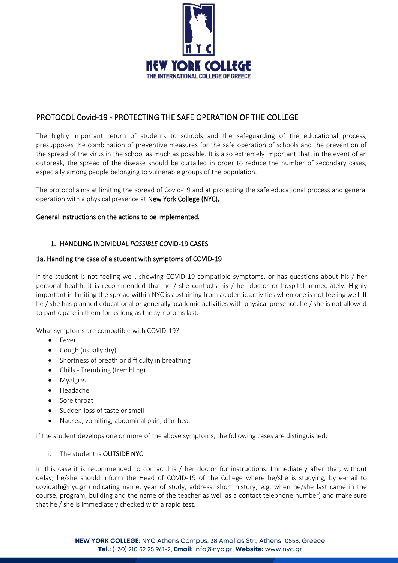

## PROTOCOL Covid-19 - PROTECTING THE SAFE OPERATION OF THE COLLEGE

The highly important return of students to schools and the safeguarding of the educational process, presupposes the combination of preventive measures for the safe operation of schools and the prevention of the spread of the virus in the school as much as possible. It is also extremely important that, in the event of an outbreak, the spread of the disease should be curtailed in order to reduce the number of secondary cases, especially among people belonging to vulnerable groups of the population.

The protocol aims at limiting the spread of Covid-19 and at protecting the safe educational process and general operation with a physical presence at New York College (NYC).

#### General instructions on the actions to be implemented.

#### 1. HANDLING INDIVIDUAL *POSSIBLE* COVID-19 CASES

#### 1a. Handling the case of a student with symptoms of COVID-19

If the student is not feeling well, showing COVID-19-compatible symptoms, or has questions about his / her personal health, it is recommended that he / she contacts his / her doctor or hospital immediately. Highly important in limiting the spread within NYC is abstaining from academic activities when one is not feeling well. If he / she has planned educational or generally academic activities with physical presence, he / she is not allowed to participate in them for as long as the symptoms last.

What symptoms are compatible with COVID-19?

- Fever
- Cough (usually dry)
- Shortness of breath or difficulty in breathing
- Chills Trembling (trembling)
- Myalgias
- Headache
- Sore throat
- Sudden loss of taste or smell
- Nausea, vomiting, abdominal pain, diarrhea.

If the student develops one or more of the above symptoms, the following cases are distinguished:

#### i. The student is OUTSIDE NYC

In this case it is recommended to contact his / her doctor for instructions. Immediately after that, without delay, he/she should inform the Head of COVID-19 of the College where he/she is studying, by e-mail to covidath@nyc.gr (indicating name, year of study, address, short history, e.g. when he/she last came in the course, program, building and the name of the teacher as well as a contact telephone number) and make sure that he / she is immediately checked with a rapid test.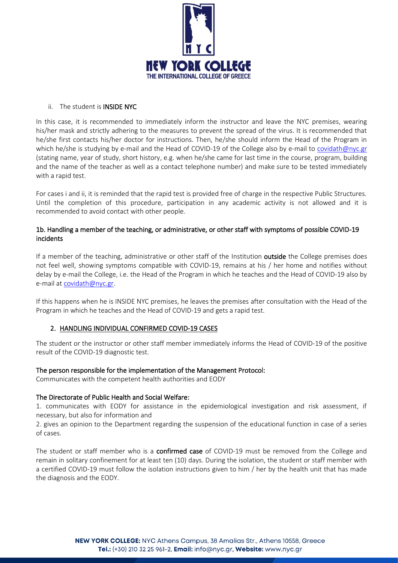

#### ii. The student is INSIDE NYC

In this case, it is recommended to immediately inform the instructor and leave the NYC premises, wearing his/her mask and strictly adhering to the measures to prevent the spread of the virus. It is recommended that he/she first contacts his/her doctor for instructions. Then, he/she should inform the Head of the Program in which he/she is studying by e-mail and the Head of COVID-19 of the College also by e-mail to covidath@nyc.gr (stating name, year of study, short history, e.g. when he/she came for last time in the course, program, building and the name of the teacher as well as a contact telephone number) and make sure to be tested immediately with a rapid test.

For cases i and ii, it is reminded that the rapid test is provided free of charge in the respective Public Structures. Until the completion of this procedure, participation in any academic activity is not allowed and it is recommended to avoid contact with other people.

## 1b. Handling a member of the teaching, or administrative, or other staff with symptoms of possible COVID-19 incidents

If a member of the teaching, administrative or other staff of the Institution outside the College premises does not feel well, showing symptoms compatible with COVID-19, remains at his / her home and notifies without delay by e-mail the College, i.e. the Head of the Program in which he teaches and the Head of COVID-19 also by e-mail at [covidath@nyc.gr.](mailto:covidath@nyc.gr)

If this happens when he is INSIDE NYC premises, he leaves the premises after consultation with the Head of the Program in which he teaches and the Head of COVID-19 and gets a rapid test.

## 2. HANDLING INDIVIDUAL CONFIRMED COVID-19 CASES

The student or the instructor or other staff member immediately informs the Head of COVID-19 of the positive result of the COVID-19 diagnostic test.

#### The person responsible for the implementation of the Management Protocol:

Communicates with the competent health authorities and EODY

#### The Directorate of Public Health and Social Welfare:

1. communicates with EODY for assistance in the epidemiological investigation and risk assessment, if necessary, but also for information and

2. gives an opinion to the Department regarding the suspension of the educational function in case of a series of cases.

The student or staff member who is a confirmed case of COVID-19 must be removed from the College and remain in solitary confinement for at least ten (10) days. During the isolation, the student or staff member with a certified COVID-19 must follow the isolation instructions given to him / her by the health unit that has made the diagnosis and the EODY.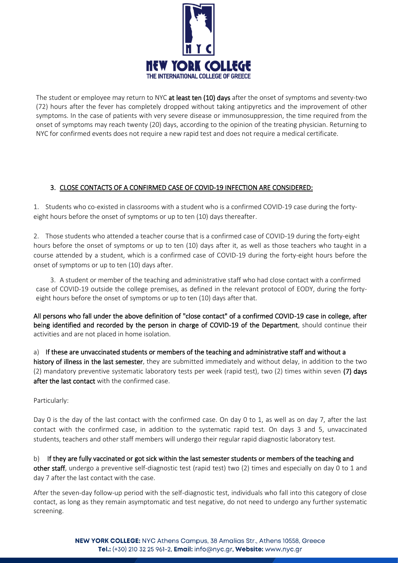

The student or employee may return to NYC at least ten (10) days after the onset of symptoms and seventy-two (72) hours after the fever has completely dropped without taking antipyretics and the improvement of other symptoms. In the case of patients with very severe disease or immunosuppression, the time required from the onset of symptoms may reach twenty (20) days, according to the opinion of the treating physician. Returning to NYC for confirmed events does not require a new rapid test and does not require a medical certificate.

## 3. CLOSE CONTACTS OF A CONFIRMED CASE OF COVID-19 INFECTION ARE CONSIDERED:

1. Students who co-existed in classrooms with a student who is a confirmed COVID-19 case during the fortyeight hours before the onset of symptoms or up to ten (10) days thereafter.

2. Those students who attended a teacher course that is a confirmed case of COVID-19 during the forty-eight hours before the onset of symptoms or up to ten (10) days after it, as well as those teachers who taught in a course attended by a student, which is a confirmed case of COVID-19 during the forty-eight hours before the onset of symptoms or up to ten (10) days after.

3. A student or member of the teaching and administrative staff who had close contact with a confirmed case of COVID-19 outside the college premises, as defined in the relevant protocol of EODY, during the fortyeight hours before the onset of symptoms or up to ten (10) days after that.

All persons who fall under the above definition of "close contact" of a confirmed COVID-19 case in college, after being identified and recorded by the person in charge of COVID-19 of the Department, should continue their activities and are not placed in home isolation.

a) If these are unvaccinated students or members of the teaching and administrative staff and without a history of illness in the last semester, they are submitted immediately and without delay, in addition to the two (2) mandatory preventive systematic laboratory tests per week (rapid test), two (2) times within seven (7) days after the last contact with the confirmed case.

Particularly:

Day 0 is the day of the last contact with the confirmed case. On day 0 to 1, as well as on day 7, after the last contact with the confirmed case, in addition to the systematic rapid test. On days 3 and 5, unvaccinated students, teachers and other staff members will undergo their regular rapid diagnostic laboratory test.

b) If they are fully vaccinated or got sick within the last semester students or members of the teaching and other staff, undergo a preventive self-diagnostic test (rapid test) two (2) times and especially on day 0 to 1 and day 7 after the last contact with the case.

After the seven-day follow-up period with the self-diagnostic test, individuals who fall into this category of close contact, as long as they remain asymptomatic and test negative, do not need to undergo any further systematic screening.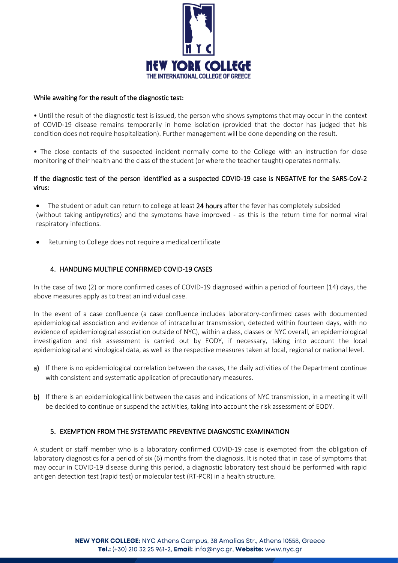

#### While awaiting for the result of the diagnostic test:

• Until the result of the diagnostic test is issued, the person who shows symptoms that may occur in the context of COVID-19 disease remains temporarily in home isolation (provided that the doctor has judged that his condition does not require hospitalization). Further management will be done depending on the result.

• The close contacts of the suspected incident normally come to the College with an instruction for close monitoring of their health and the class of the student (or where the teacher taught) operates normally.

## If the diagnostic test of the person identified as a suspected COVID-19 case is NEGATIVE for the SARS-CoV-2 virus:

• The student or adult can return to college at least 24 hours after the fever has completely subsided (without taking antipyretics) and the symptoms have improved - as this is the return time for normal viral respiratory infections.

Returning to College does not require a medical certificate

## 4. HANDLING MULTIPLE CONFIRMED COVID-19 CASES

In the case of two (2) or more confirmed cases of COVID-19 diagnosed within a period of fourteen (14) days, the above measures apply as to treat an individual case.

In the event of a case confluence (a case confluence includes laboratory-confirmed cases with documented epidemiological association and evidence of intracellular transmission, detected within fourteen days, with no evidence of epidemiological association outside of NYC), within a class, classes or NYC overall, an epidemiological investigation and risk assessment is carried out by EODY, if necessary, taking into account the local epidemiological and virological data, as well as the respective measures taken at local, regional or national level.

- a) If there is no epidemiological correlation between the cases, the daily activities of the Department continue with consistent and systematic application of precautionary measures.
- b) If there is an epidemiological link between the cases and indications of NYC transmission, in a meeting it will be decided to continue or suspend the activities, taking into account the risk assessment of EODY.

## 5. EXEMPTION FROM THE SYSTEMATIC PREVENTIVE DIAGNOSTIC EXAMINATION

A student or staff member who is a laboratory confirmed COVID-19 case is exempted from the obligation of laboratory diagnostics for a period of six (6) months from the diagnosis. It is noted that in case of symptoms that may occur in COVID-19 disease during this period, a diagnostic laboratory test should be performed with rapid antigen detection test (rapid test) or molecular test (RT-PCR) in a health structure.